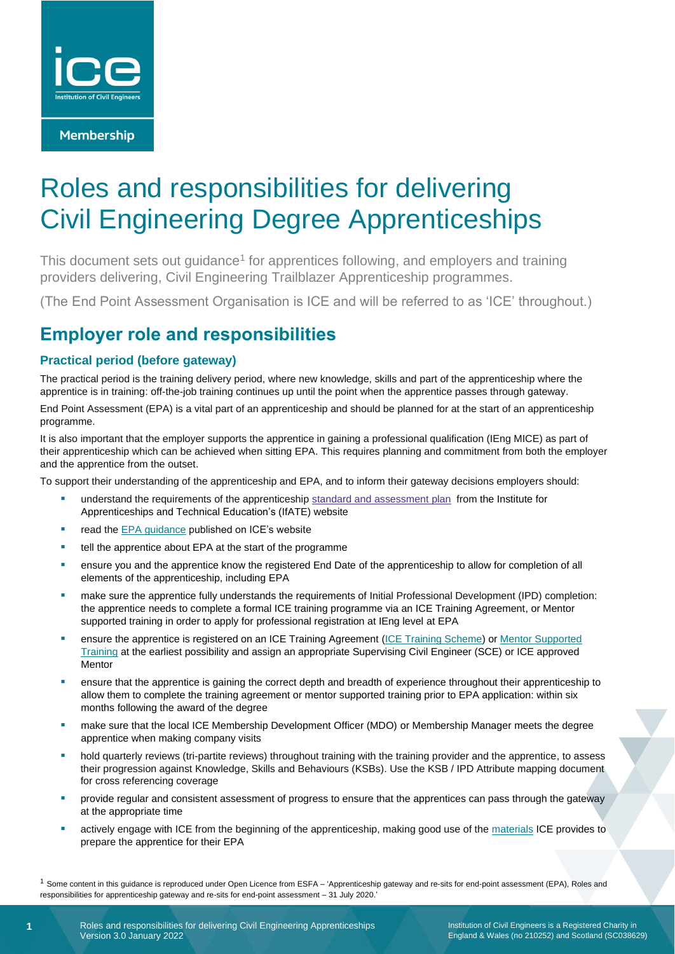

**Membership** 

# Roles and responsibilities for delivering Civil Engineering Degree Apprenticeships

This document sets out guidance<sup>1</sup> for apprentices following, and employers and training providers delivering, Civil Engineering Trailblazer Apprenticeship programmes.

(The End Point Assessment Organisation is ICE and will be referred to as 'ICE' throughout.)

# **Employer role and responsibilities**

### **Practical period (before gateway)**

The practical period is the training delivery period, where new knowledge, skills and part of the apprenticeship where the apprentice is in training: off-the-job training continues up until the point when the apprentice passes through gateway.

End Point Assessment (EPA) is a vital part of an apprenticeship and should be planned for at the start of an apprenticeship programme.

It is also important that the employer supports the apprentice in gaining a professional qualification (IEng MICE) as part of their apprenticeship which can be achieved when sitting EPA. This requires planning and commitment from both the employer and the apprentice from the outset.

To support their understanding of the apprenticeship and EPA, and to inform their gateway decisions employers should:

- understand the requirements of the apprenticeship standard and [assessment](https://www.instituteforapprenticeships.org/apprenticeship-standards/civil-engineer-(degree)-v1-0) plan from the Institute for Apprenticeships and Technical Education's (IfATE) website
- read the **EPA guidance published on ICE's website**
- tell the apprentice about EPA at the start of the programme
- **•** ensure you and the apprentice know the registered End Date of the apprenticeship to allow for completion of all elements of the apprenticeship, including EPA
- make sure the apprentice fully understands the requirements of Initial Professional Development (IPD) completion: the apprentice needs to complete a formal ICE training programme via an ICE Training Agreement, or Mentor supported training in order to apply for professional registration at IEng level at EPA
- ensure the apprentice is registered on an ICE Training Agreement [\(ICE Training Scheme\)](https://www.ice.org.uk/my-ice/my-membership/training-scheme) or Mentor Supported [Training](https://www.ice.org.uk/my-ice/membership-documents/mentor-supported-training) at the earliest possibility and assign an appropriate Supervising Civil Engineer (SCE) or ICE approved Mentor
- **•** ensure that the apprentice is gaining the correct depth and breadth of experience throughout their apprenticeship to allow them to complete the training agreement or mentor supported training prior to EPA application: within six months following the award of the degree
- make sure that the local ICE Membership Development Officer (MDO) or Membership Manager meets the degree apprentice when making company visits
- hold quarterly reviews (tri-partite reviews) throughout training with the training provider and the apprentice, to assess their progression against Knowledge, Skills and Behaviours (KSBs). Use the KSB / IPD Attribute mapping document for cross referencing coverage
- provide regular and consistent assessment of progress to ensure that the apprentices can pass through the gateway at the appropriate time
- actively engage with ICE from the beginning of the apprenticeship, making good use of the [materials](https://www.ice.org.uk/careers-and-training/apprenticeships/apprentices#england) ICE provides to prepare the apprentice for their EPA

<sup>1</sup> Some content in this guidance is reproduced under Open Licence from ESFA - 'Apprenticeship gateway and re-sits for end-point assessment (EPA), Roles and responsibilities for apprenticeship gateway and re-sits for end-point assessment – 31 July 2020.'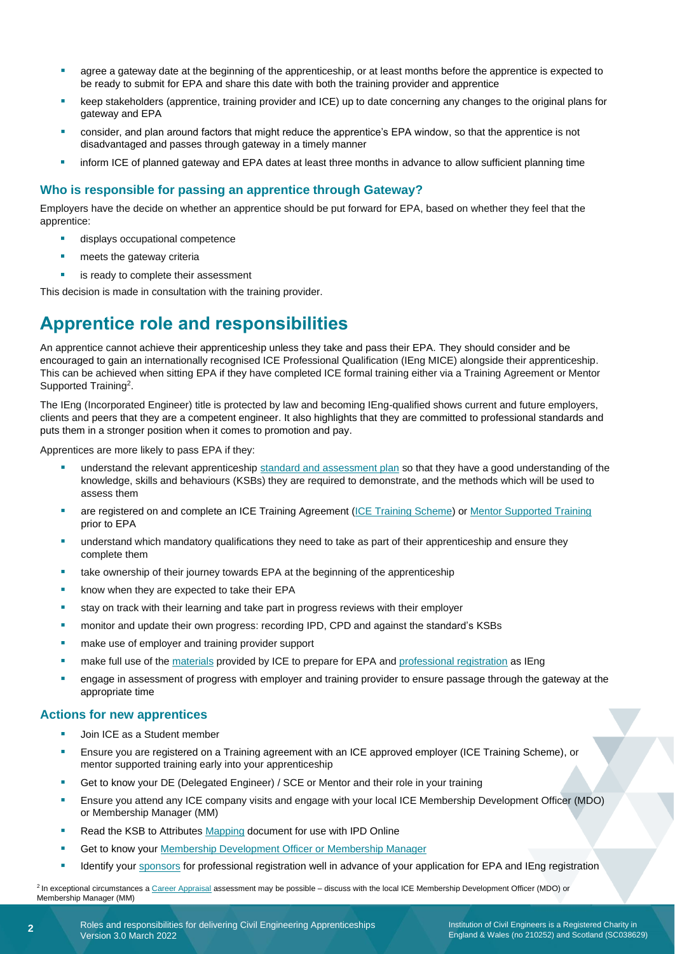- agree a gateway date at the beginning of the apprenticeship, or at least months before the apprentice is expected to be ready to submit for EPA and share this date with both the training provider and apprentice
- keep stakeholders (apprentice, training provider and ICE) up to date concerning any changes to the original plans for gateway and EPA
- consider, and plan around factors that might reduce the apprentice's EPA window, so that the apprentice is not disadvantaged and passes through gateway in a timely manner
- inform ICE of planned gateway and EPA dates at least three months in advance to allow sufficient planning time

### **Who is responsible for passing an apprentice through Gateway?**

Employers have the decide on whether an apprentice should be put forward for EPA, based on whether they feel that the apprentice:

- displays occupational competence
- meets the gateway criteria
- is ready to complete their assessment

This decision is made in consultation with the training provider.

# **Apprentice role and responsibilities**

An apprentice cannot achieve their apprenticeship unless they take and pass their EPA. They should consider and be encouraged to gain an internationally recognised ICE Professional Qualification (IEng MICE) alongside their apprenticeship. This can be achieved when sitting EPA if they have completed ICE formal training either via a Training Agreement or Mentor Supported Training<sup>2</sup>.

The IEng (Incorporated Engineer) title is protected by law and becoming IEng-qualified shows current and future employers, clients and peers that they are a competent engineer. It also highlights that they are committed to professional standards and puts them in a stronger position when it comes to promotion and pay.

Apprentices are more likely to pass EPA if they:

- understand the relevant apprenticeship [standard and assessment plan](https://www.instituteforapprenticeships.org/apprenticeship-standards/civil-engineer-(degree)-v1-0) so that they have a good understanding of the knowledge, skills and behaviours (KSBs) they are required to demonstrate, and the methods which will be used to assess them
- are registered on and complete an ICE Training Agreement [\(ICE Training Scheme\)](https://www.ice.org.uk/my-ice/my-membership/training-scheme) o[r Mentor Supported Training](https://www.ice.org.uk/my-ice/membership-documents/mentor-supported-training) prior to EPA
- understand which mandatory qualifications they need to take as part of their apprenticeship and ensure they complete them
- take ownership of their journey towards EPA at the beginning of the apprenticeship
- know when they are expected to take their EPA
- stay on track with their learning and take part in progress reviews with their employer
- monitor and update their own progress: recording IPD, CPD and against the standard's KSBs
- make use of employer and training provider support
- make full use of the [materials](https://www.ice.org.uk/careers-and-training/apprenticeships/apprentices#england) provided by ICE to prepare for EPA and [professional registration](https://www.ice.org.uk/my-ice/my-membership/training-scheme) as IEng
- engage in assessment of progress with employer and training provider to ensure passage through the gateway at the appropriate time

#### **Actions for new apprentices**

- Join ICE as a Student member
- Ensure you are registered on a Training agreement with an ICE approved employer (ICE Training Scheme), or mentor supported training early into your apprenticeship
- Get to know your DE (Delegated Engineer) / SCE or Mentor and their role in your training
- Ensure you attend any ICE company visits and engage with your local ICE Membership Development Officer (MDO) or Membership Manager (MM)
- Read the KSB to Attributes [Mapping](https://www.ice.org.uk/ICEDevelopmentWebPortal/media/Documents/Careers/epa-mapping-document-civil-engineering-degree-apprenticeship_1.pdf) document for use with IPD Online
- **E** Get to know you[r Membership Development Officer](https://www.ice.org.uk/about-us/what-we-do/ice-near-you/) or Membership Manager
- Identify you[r sponsors](https://www.ice.org.uk/my-ice/membership-documents/professional-review-sponsor-questionnaire) for professional registration well in advance of your application for EPA and IEng registration

<sup>2</sup> In exceptional circumstances [a Career Appraisal](https://www.ice.org.uk/my-ice/my-membership/career-appraisal) assessment may be possible – discuss with the local ICE Membership Development Officer (MDO) or Membership Manager (MM)